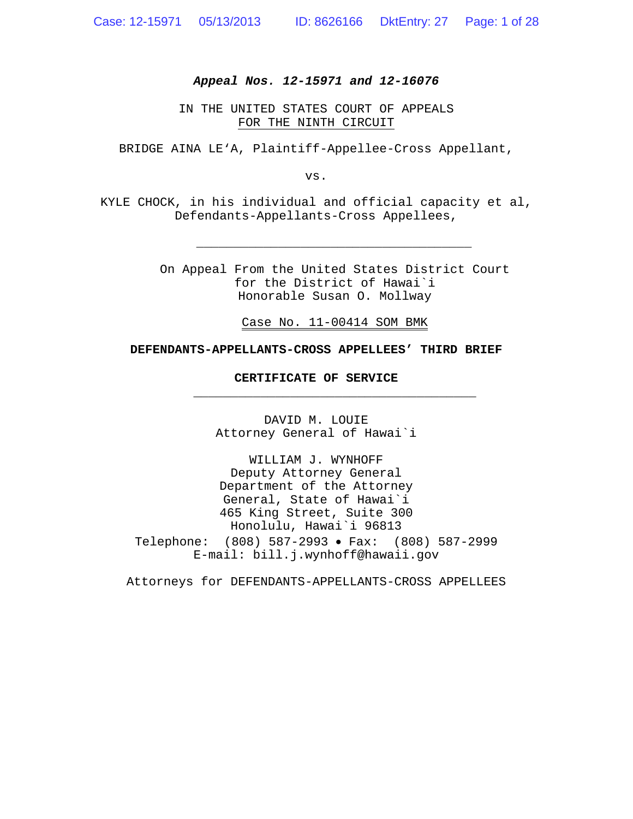#### *Appeal Nos. 12-15971 and 12-16076*

IN THE UNITED STATES COURT OF APPEALS FOR THE NINTH CIRCUIT

BRIDGE AINA LE'A, Plaintiff-Appellee-Cross Appellant,

vs.

KYLE CHOCK, in his individual and official capacity et al, Defendants-Appellants-Cross Appellees,

> On Appeal From the United States District Court for the District of Hawai`i Honorable Susan O. Mollway

*\_\_\_\_\_\_\_\_\_\_\_\_\_\_\_\_\_\_\_\_\_\_\_\_\_\_\_\_\_\_\_\_\_\_\_\_\_*

Case No. 11-00414 SOM BMK

**\_\_\_\_\_\_\_\_\_\_\_\_\_\_\_\_\_\_\_\_\_\_\_\_\_\_\_\_\_\_\_\_\_\_\_\_\_\_**

#### **DEFENDANTS-APPELLANTS-CROSS APPELLEES' THIRD BRIEF**

**CERTIFICATE OF SERVICE**

DAVID M. LOUIE Attorney General of Hawai`i

WILLIAM J. WYNHOFF Deputy Attorney General Department of the Attorney General, State of Hawai`i 465 King Street, Suite 300 Honolulu, Hawai`i 96813 Telephone: (808) 587-2993 Fax: (808) 587-2999 E-mail: bill.j.wynhoff@hawaii.gov

Attorneys for DEFENDANTS-APPELLANTS-CROSS APPELLEES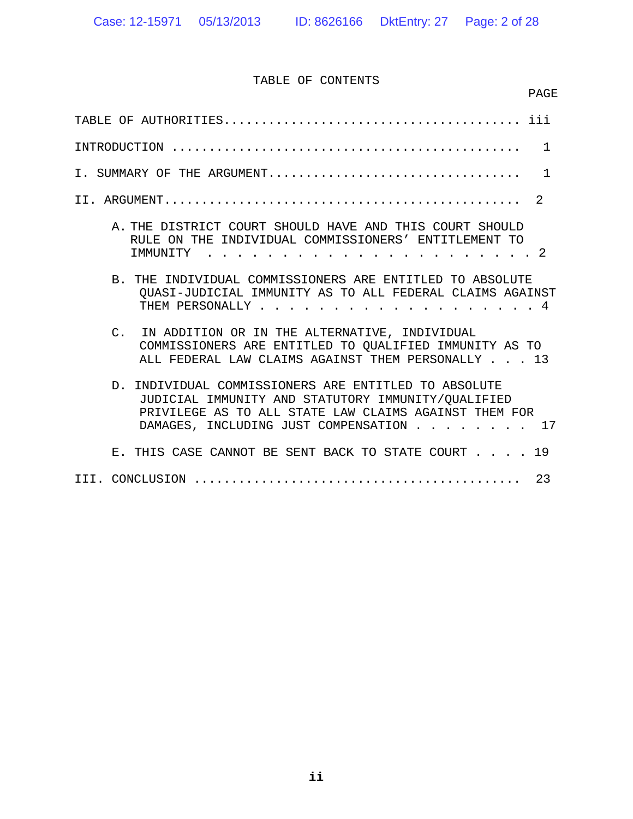# TABLE OF CONTENTS

|                                                                                                                                                                                                                      | PAGE         |
|----------------------------------------------------------------------------------------------------------------------------------------------------------------------------------------------------------------------|--------------|
|                                                                                                                                                                                                                      |              |
|                                                                                                                                                                                                                      | $\mathbf{1}$ |
| I. SUMMARY OF THE ARGUMENT                                                                                                                                                                                           | $\mathbf{1}$ |
|                                                                                                                                                                                                                      | 2            |
| A. THE DISTRICT COURT SHOULD HAVE AND THIS COURT SHOULD<br>RULE ON THE INDIVIDUAL COMMISSIONERS' ENTITLEMENT TO<br>TMMUNITY<br>. 2<br>$\overline{a}$ and $\overline{a}$ and $\overline{a}$                           |              |
| B. THE INDIVIDUAL COMMISSIONERS ARE ENTITLED TO ABSOLUTE<br>QUASI-JUDICIAL IMMUNITY AS TO ALL FEDERAL CLAIMS AGAINST<br>THEM PERSONALLY, THEM<br>. 4                                                                 |              |
| IN ADDITION OR IN THE ALTERNATIVE, INDIVIDUAL<br>$C_{\cdot}$<br>COMMISSIONERS ARE ENTITLED TO OUALIFIED IMMUNITY AS TO<br>ALL FEDERAL LAW CLAIMS AGAINST THEM PERSONALLY 13                                          |              |
| INDIVIDUAL COMMISSIONERS ARE ENTITLED TO ABSOLUTE<br>$\Gamma$<br>JUDICIAL IMMUNITY AND STATUTORY IMMUNITY/OUALIFIED<br>PRIVILEGE AS TO ALL STATE LAW CLAIMS AGAINST THEM FOR<br>DAMAGES, INCLUDING JUST COMPENSATION | $\sim 17$    |
| E. THIS CASE CANNOT BE SENT BACK TO STATE COURT 19                                                                                                                                                                   |              |
|                                                                                                                                                                                                                      | -23          |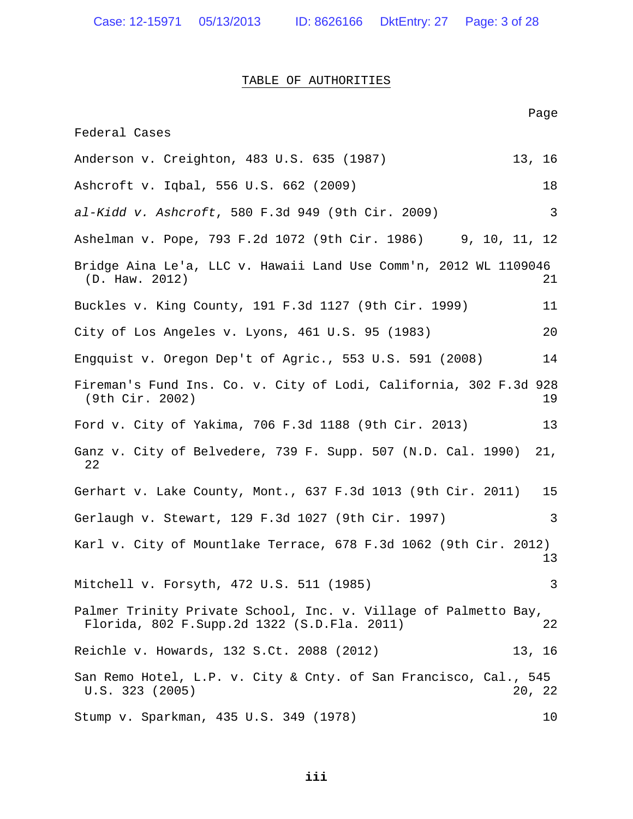Case: 12-15971 05/13/2013 ID: 8626166 DktEntry: 27 Page: 3 of 28

#### TABLE OF AUTHORITIES

Page Federal Cases Anderson v. Creighton, 483 U.S. 635 (1987) 13, 16 Ashcroft v. Iqbal, 556 U.S. 662 (2009) 18 *al-Kidd v. Ashcroft*, 580 F.3d 949 (9th Cir. 2009) 3 Ashelman v. Pope, 793 F.2d 1072 (9th Cir. 1986) 9, 10, 11, 12 Bridge Aina Le'a, LLC v. Hawaii Land Use Comm'n, 2012 WL 1109046 (D. Haw. 2012) 21 Buckles v. King County, 191 F.3d 1127 (9th Cir. 1999) 11 City of Los Angeles v. Lyons, 461 U.S. 95 (1983) 20 Engquist v. Oregon Dep't of Agric., 553 U.S. 591 (2008) 14 Fireman's Fund Ins. Co. v. City of Lodi, California, 302 F.3d 928 (9th Cir. 2002) 19 Ford v. City of Yakima, 706 F.3d 1188 (9th Cir. 2013) 13 Ganz v. City of Belvedere, 739 F. Supp. 507 (N.D. Cal. 1990) 21, 22 Gerhart v. Lake County, Mont., 637 F.3d 1013 (9th Cir. 2011) 15 Gerlaugh v. Stewart, 129 F.3d 1027 (9th Cir. 1997) 3 Karl v. City of Mountlake Terrace, 678 F.3d 1062 (9th Cir. 2012) 13 Mitchell v. Forsyth, 472 U.S. 511 (1985) 3 Palmer Trinity Private School, Inc. v. Village of Palmetto Bay, Florida, 802 F.Supp.2d 1322 (S.D.Fla. 2011) 22 Reichle v. Howards, 132 S.Ct. 2088 (2012) 13, 16 San Remo Hotel, L.P. v. City & Cnty. of San Francisco, Cal., 545 U.S. 323 (2005) 20, 22 Stump v. Sparkman, 435 U.S. 349 (1978) 10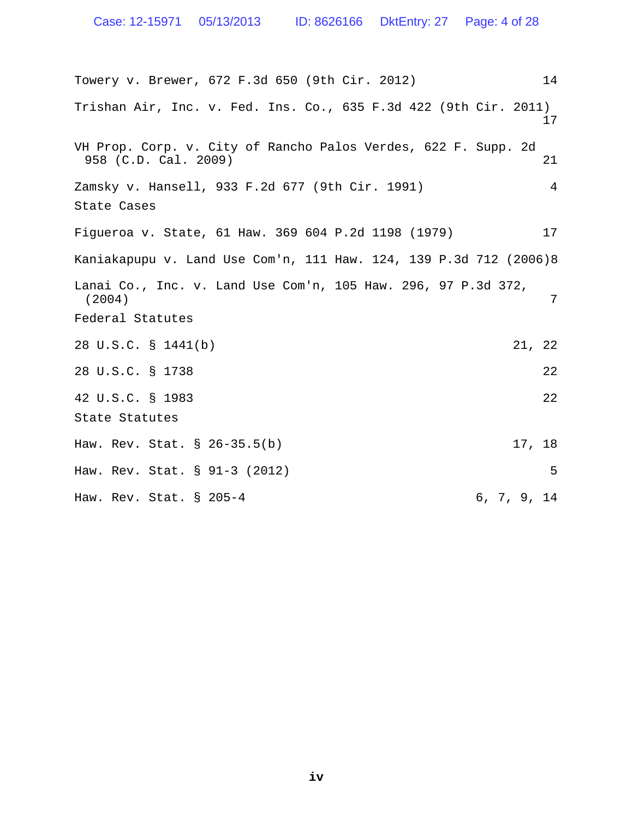Towery v. Brewer, 672 F.3d 650 (9th Cir. 2012) 14 Trishan Air, Inc. v. Fed. Ins. Co., 635 F.3d 422 (9th Cir. 2011) 17 VH Prop. Corp. v. City of Rancho Palos Verdes, 622 F. Supp. 2d 958 (C.D. Cal. 2009) 21 Zamsky v. Hansell, 933 F.2d 677 (9th Cir. 1991) 4 State Cases Figueroa v. State, 61 Haw. 369 604 P.2d 1198 (1979) 17 Kaniakapupu v. Land Use Com'n, 111 Haw. 124, 139 P.3d 712 (2006)8 Lanai Co., Inc. v. Land Use Com'n, 105 Haw. 296, 97 P.3d 372, (2004) 7 Federal Statutes 28 U.S.C. § 1441(b) 21, 22 28 U.S.C. § 1738 22 42 U.S.C. § 1983 22 State Statutes Haw. Rev. Stat. § 26-35.5(b) 17, 18 Haw. Rev. Stat. § 91-3 (2012) 5 Haw. Rev. Stat. § 205-4 6, 7, 9, 14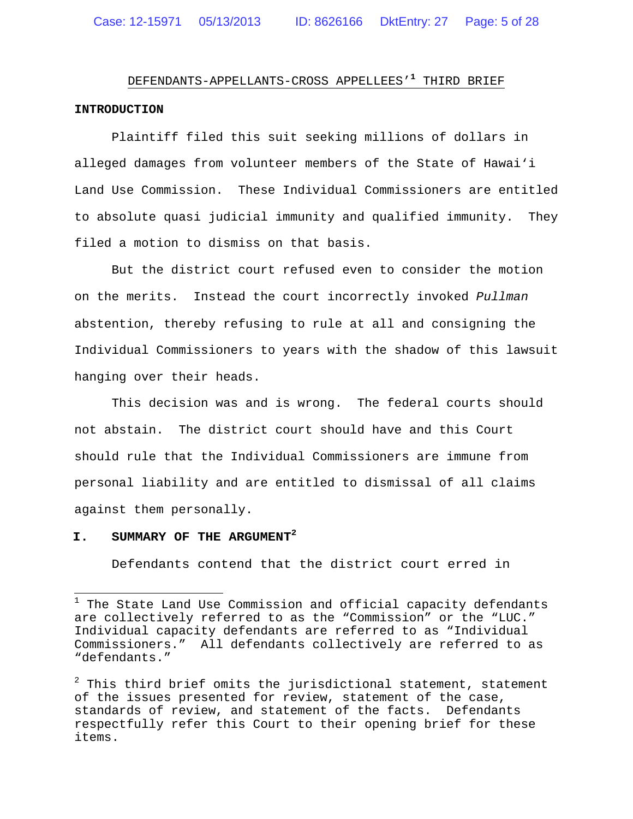# DEFENDANTS-APPELLANTS-CROSS APPELLEES'**<sup>1</sup>** THIRD BRIEF **INTRODUCTION**

Plaintiff filed this suit seeking millions of dollars in alleged damages from volunteer members of the State of Hawai'i Land Use Commission. These Individual Commissioners are entitled to absolute quasi judicial immunity and qualified immunity. They filed a motion to dismiss on that basis.

But the district court refused even to consider the motion on the merits. Instead the court incorrectly invoked *Pullman* abstention, thereby refusing to rule at all and consigning the Individual Commissioners to years with the shadow of this lawsuit hanging over their heads.

This decision was and is wrong. The federal courts should not abstain. The district court should have and this Court should rule that the Individual Commissioners are immune from personal liability and are entitled to dismissal of all claims against them personally.

## **I. SUMMARY OF THE ARGUMENT<sup>2</sup>**

Defendants contend that the district court erred in

 $1$  The State Land Use Commission and official capacity defendants are collectively referred to as the "Commission" or the "LUC." Individual capacity defendants are referred to as "Individual Commissioners." All defendants collectively are referred to as "defendants."

 $2$  This third brief omits the jurisdictional statement, statement of the issues presented for review, statement of the case, standards of review, and statement of the facts. Defendants respectfully refer this Court to their opening brief for these items.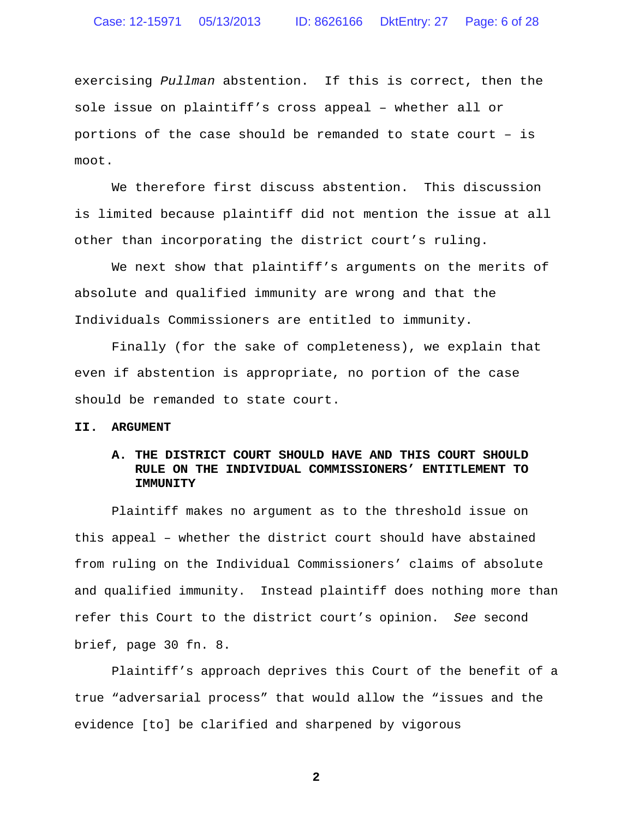exercising *Pullman* abstention. If this is correct, then the sole issue on plaintiff's cross appeal – whether all or portions of the case should be remanded to state court – is moot.

We therefore first discuss abstention. This discussion is limited because plaintiff did not mention the issue at all other than incorporating the district court's ruling.

We next show that plaintiff's arguments on the merits of absolute and qualified immunity are wrong and that the Individuals Commissioners are entitled to immunity.

Finally (for the sake of completeness), we explain that even if abstention is appropriate, no portion of the case should be remanded to state court.

#### **II. ARGUMENT**

#### **A. THE DISTRICT COURT SHOULD HAVE AND THIS COURT SHOULD RULE ON THE INDIVIDUAL COMMISSIONERS' ENTITLEMENT TO IMMUNITY**

Plaintiff makes no argument as to the threshold issue on this appeal – whether the district court should have abstained from ruling on the Individual Commissioners' claims of absolute and qualified immunity. Instead plaintiff does nothing more than refer this Court to the district court's opinion. *See* second brief, page 30 fn. 8.

Plaintiff's approach deprives this Court of the benefit of a true "adversarial process" that would allow the "issues and the evidence [to] be clarified and sharpened by vigorous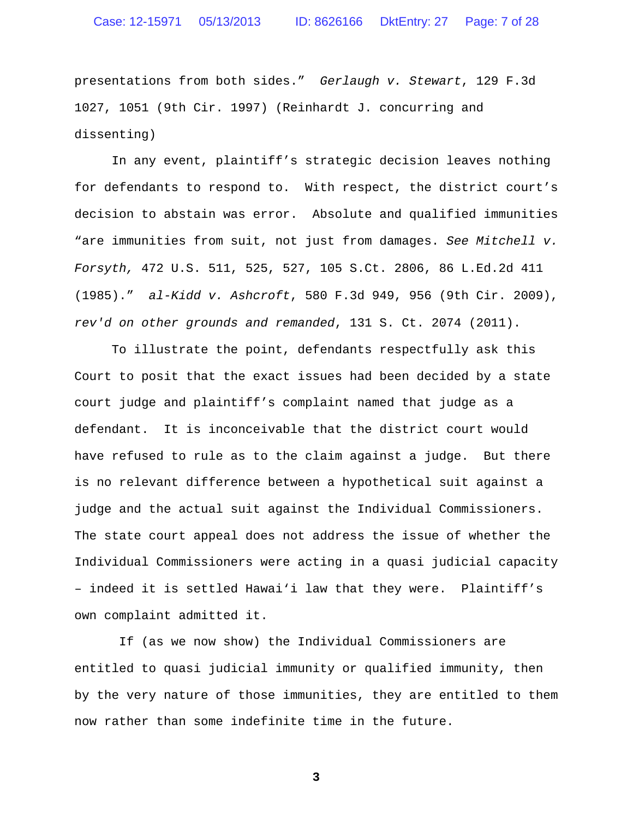presentations from both sides." *Gerlaugh v. Stewart*, 129 F.3d 1027, 1051 (9th Cir. 1997) (Reinhardt J. concurring and dissenting)

In any event, plaintiff's strategic decision leaves nothing for defendants to respond to. With respect, the district court's decision to abstain was error. Absolute and qualified immunities "are immunities from suit, not just from damages. *See Mitchell v. Forsyth,* 472 U.S. 511, 525, 527, 105 S.Ct. 2806, 86 L.Ed.2d 411 (1985)." *al-Kidd v. Ashcroft*, 580 F.3d 949, 956 (9th Cir. 2009), *rev'd on other grounds and remanded*, 131 S. Ct. 2074 (2011).

To illustrate the point, defendants respectfully ask this Court to posit that the exact issues had been decided by a state court judge and plaintiff's complaint named that judge as a defendant. It is inconceivable that the district court would have refused to rule as to the claim against a judge. But there is no relevant difference between a hypothetical suit against a judge and the actual suit against the Individual Commissioners. The state court appeal does not address the issue of whether the Individual Commissioners were acting in a quasi judicial capacity – indeed it is settled Hawai'i law that they were. Plaintiff's own complaint admitted it.

If (as we now show) the Individual Commissioners are entitled to quasi judicial immunity or qualified immunity, then by the very nature of those immunities, they are entitled to them now rather than some indefinite time in the future.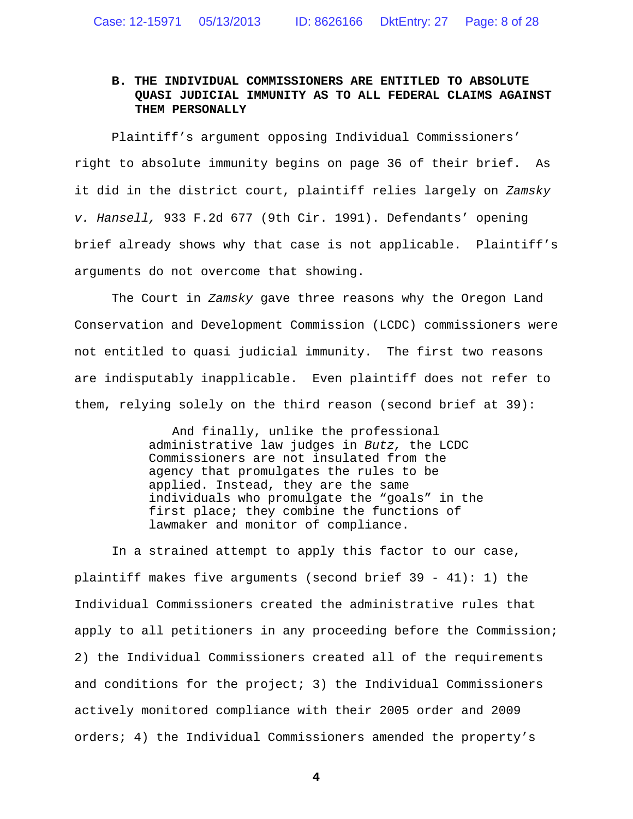## **B. THE INDIVIDUAL COMMISSIONERS ARE ENTITLED TO ABSOLUTE QUASI JUDICIAL IMMUNITY AS TO ALL FEDERAL CLAIMS AGAINST THEM PERSONALLY**

Plaintiff's argument opposing Individual Commissioners' right to absolute immunity begins on page 36 of their brief. As it did in the district court, plaintiff relies largely on *Zamsky v. Hansell,* 933 F.2d 677 (9th Cir. 1991). Defendants' opening brief already shows why that case is not applicable. Plaintiff's arguments do not overcome that showing.

The Court in *Zamsky* gave three reasons why the Oregon Land Conservation and Development Commission (LCDC) commissioners were not entitled to quasi judicial immunity. The first two reasons are indisputably inapplicable. Even plaintiff does not refer to them, relying solely on the third reason (second brief at 39):

> And finally, unlike the professional administrative law judges in *Butz,* the LCDC Commissioners are not insulated from the agency that promulgates the rules to be applied. Instead, they are the same individuals who promulgate the "goals" in the first place; they combine the functions of lawmaker and monitor of compliance.

In a strained attempt to apply this factor to our case, plaintiff makes five arguments (second brief 39 - 41): 1) the Individual Commissioners created the administrative rules that apply to all petitioners in any proceeding before the Commission; 2) the Individual Commissioners created all of the requirements and conditions for the project; 3) the Individual Commissioners actively monitored compliance with their 2005 order and 2009 orders; 4) the Individual Commissioners amended the property's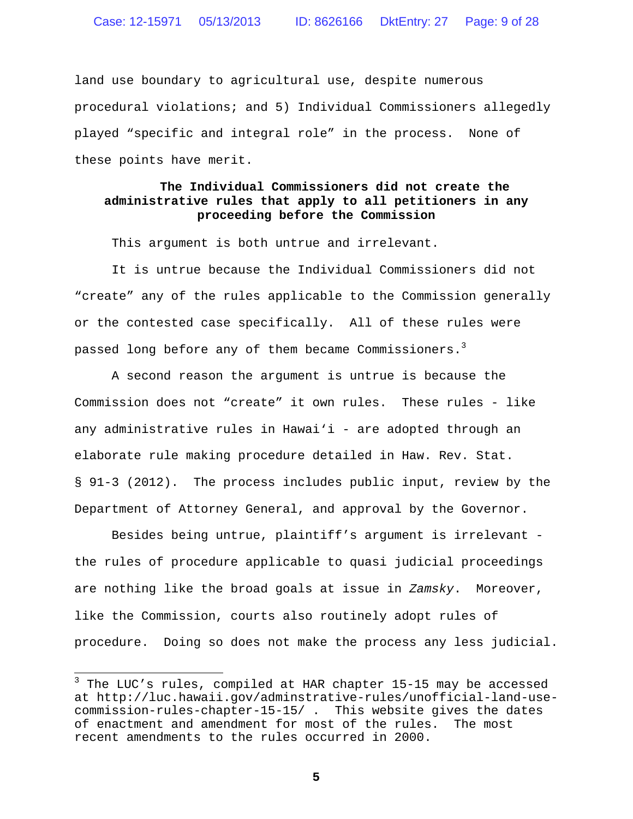land use boundary to agricultural use, despite numerous procedural violations; and 5) Individual Commissioners allegedly played "specific and integral role" in the process. None of these points have merit.

# **The Individual Commissioners did not create the administrative rules that apply to all petitioners in any proceeding before the Commission**

This argument is both untrue and irrelevant.

It is untrue because the Individual Commissioners did not "create" any of the rules applicable to the Commission generally or the contested case specifically. All of these rules were passed long before any of them became Commissioners.<sup>3</sup>

A second reason the argument is untrue is because the Commission does not "create" it own rules. These rules - like any administrative rules in Hawai'i - are adopted through an elaborate rule making procedure detailed in Haw. Rev. Stat. § 91-3 (2012). The process includes public input, review by the Department of Attorney General, and approval by the Governor.

Besides being untrue, plaintiff's argument is irrelevant the rules of procedure applicable to quasi judicial proceedings are nothing like the broad goals at issue in *Zamsky*. Moreover, like the Commission, courts also routinely adopt rules of procedure. Doing so does not make the process any less judicial.

 $3$  The LUC's rules, compiled at HAR chapter 15-15 may be accessed at http://luc.hawaii.gov/adminstrative-rules/unofficial-land-usecommission-rules-chapter-15-15/ . This website gives the dates of enactment and amendment for most of the rules. The most recent amendments to the rules occurred in 2000.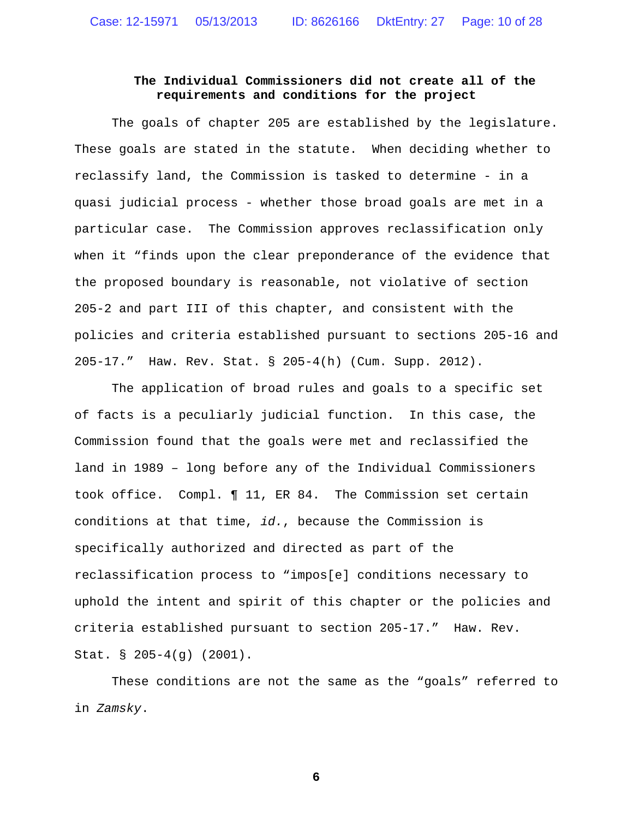## **The Individual Commissioners did not create all of the requirements and conditions for the project**

The goals of chapter 205 are established by the legislature. These goals are stated in the statute. When deciding whether to reclassify land, the Commission is tasked to determine - in a quasi judicial process - whether those broad goals are met in a particular case. The Commission approves reclassification only when it "finds upon the clear preponderance of the evidence that the proposed boundary is reasonable, not violative of section 205-2 and part III of this chapter, and consistent with the policies and criteria established pursuant to sections 205-16 and 205-17." Haw. Rev. Stat. § 205-4(h) (Cum. Supp. 2012).

The application of broad rules and goals to a specific set of facts is a peculiarly judicial function. In this case, the Commission found that the goals were met and reclassified the land in 1989 – long before any of the Individual Commissioners took office. Compl. ¶ 11, ER 84. The Commission set certain conditions at that time, *id.*, because the Commission is specifically authorized and directed as part of the reclassification process to "impos[e] conditions necessary to uphold the intent and spirit of this chapter or the policies and criteria established pursuant to section 205-17." Haw. Rev. Stat. § 205-4(g) (2001).

These conditions are not the same as the "goals" referred to in *Zamsky*.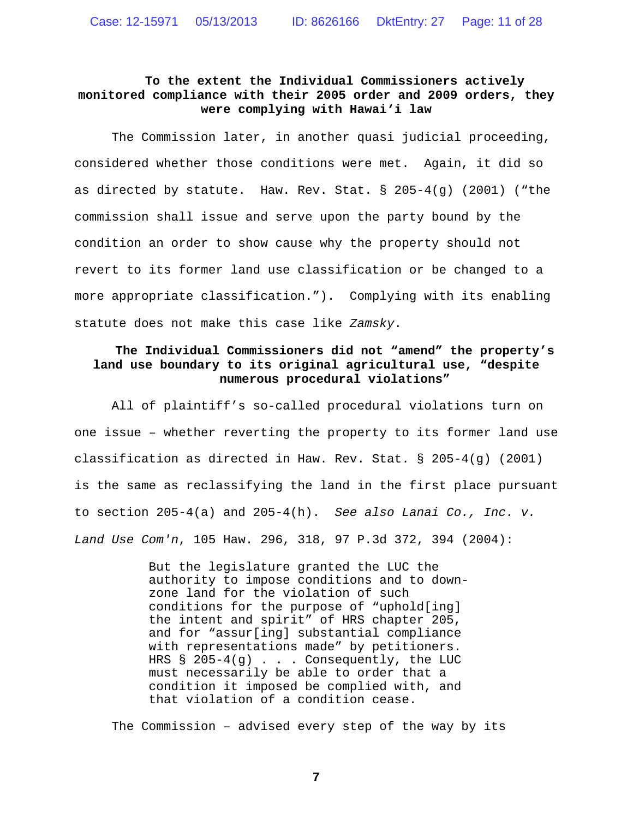# **To the extent the Individual Commissioners actively monitored compliance with their 2005 order and 2009 orders, they were complying with Hawai'i law**

The Commission later, in another quasi judicial proceeding, considered whether those conditions were met. Again, it did so as directed by statute. Haw. Rev. Stat.  $\S$  205-4(g) (2001) ("the commission shall issue and serve upon the party bound by the condition an order to show cause why the property should not revert to its former land use classification or be changed to a more appropriate classification."). Complying with its enabling statute does not make this case like *Zamsky*.

# **The Individual Commissioners did not "amend" the property's land use boundary to its original agricultural use, "despite numerous procedural violations"**

All of plaintiff's so-called procedural violations turn on one issue – whether reverting the property to its former land use classification as directed in Haw. Rev. Stat. § 205-4(g) (2001) is the same as reclassifying the land in the first place pursuant to section 205-4(a) and 205-4(h). *See also Lanai Co., Inc. v. Land Use Com'n*, 105 Haw. 296, 318, 97 P.3d 372, 394 (2004):

> But the legislature granted the LUC the authority to impose conditions and to downzone land for the violation of such conditions for the purpose of "uphold[ing] the intent and spirit" of HRS chapter 205, and for "assur[ing] substantial compliance with representations made" by petitioners. HRS § 205-4(g) . . . Consequently, the LUC must necessarily be able to order that a condition it imposed be complied with, and that violation of a condition cease.

The Commission – advised every step of the way by its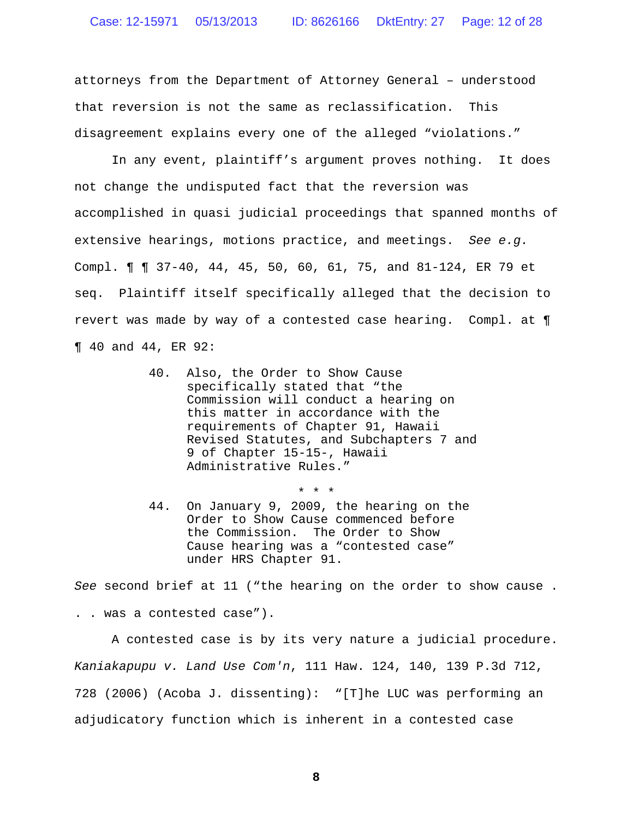attorneys from the Department of Attorney General – understood that reversion is not the same as reclassification. This disagreement explains every one of the alleged "violations."

In any event, plaintiff's argument proves nothing. It does not change the undisputed fact that the reversion was accomplished in quasi judicial proceedings that spanned months of extensive hearings, motions practice, and meetings. *See e.g.* Compl. ¶ ¶ 37-40, 44, 45, 50, 60, 61, 75, and 81-124, ER 79 et seq. Plaintiff itself specifically alleged that the decision to revert was made by way of a contested case hearing. Compl. at ¶ ¶ 40 and 44, ER 92:

- 40. Also, the Order to Show Cause specifically stated that "the Commission will conduct a hearing on this matter in accordance with the requirements of Chapter 91, Hawaii Revised Statutes, and Subchapters 7 and 9 of Chapter 15-15-, Hawaii Administrative Rules."
- 44. On January 9, 2009, the hearing on the Order to Show Cause commenced before the Commission. The Order to Show Cause hearing was a "contested case" under HRS Chapter 91.

\* \* \*

*See* second brief at 11 ("the hearing on the order to show cause .

. . was a contested case").

A contested case is by its very nature a judicial procedure. *Kaniakapupu v. Land Use Com'n*, 111 Haw. 124, 140, 139 P.3d 712, 728 (2006) (Acoba J. dissenting): "[T]he LUC was performing an adjudicatory function which is inherent in a contested case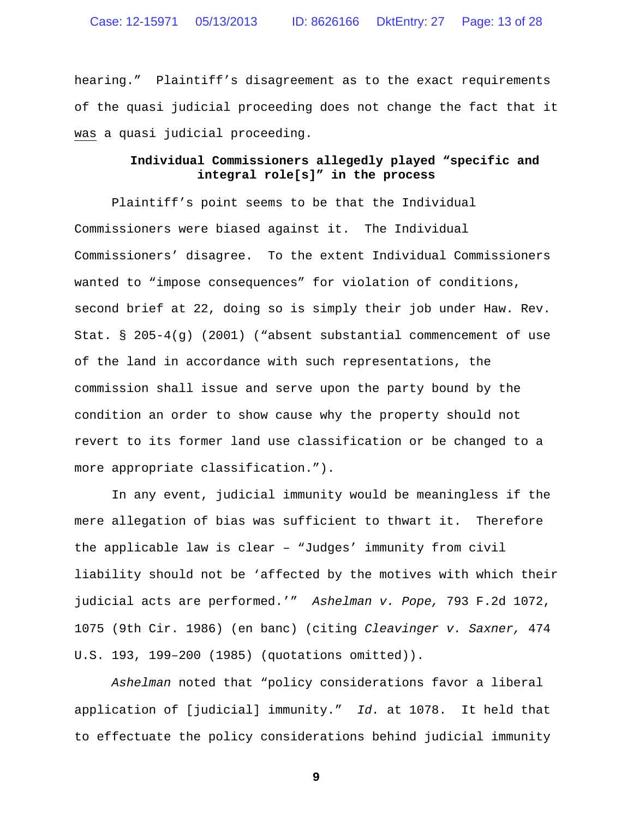hearing." Plaintiff's disagreement as to the exact requirements of the quasi judicial proceeding does not change the fact that it was a quasi judicial proceeding.

#### **Individual Commissioners allegedly played "specific and integral role[s]" in the process**

Plaintiff's point seems to be that the Individual Commissioners were biased against it. The Individual Commissioners' disagree. To the extent Individual Commissioners wanted to "impose consequences" for violation of conditions, second brief at 22, doing so is simply their job under Haw. Rev. Stat. § 205-4(g) (2001) ("absent substantial commencement of use of the land in accordance with such representations, the commission shall issue and serve upon the party bound by the condition an order to show cause why the property should not revert to its former land use classification or be changed to a more appropriate classification.").

In any event, judicial immunity would be meaningless if the mere allegation of bias was sufficient to thwart it. Therefore the applicable law is clear – "Judges' immunity from civil liability should not be 'affected by the motives with which their judicial acts are performed.'" *Ashelman v. Pope,* 793 F.2d 1072, 1075 (9th Cir. 1986) (en banc) (citing *Cleavinger v. Saxner,* 474 U.S. 193, 199–200 (1985) (quotations omitted)).

*Ashelman* noted that "policy considerations favor a liberal application of [judicial] immunity." *Id.* at 1078. It held that to effectuate the policy considerations behind judicial immunity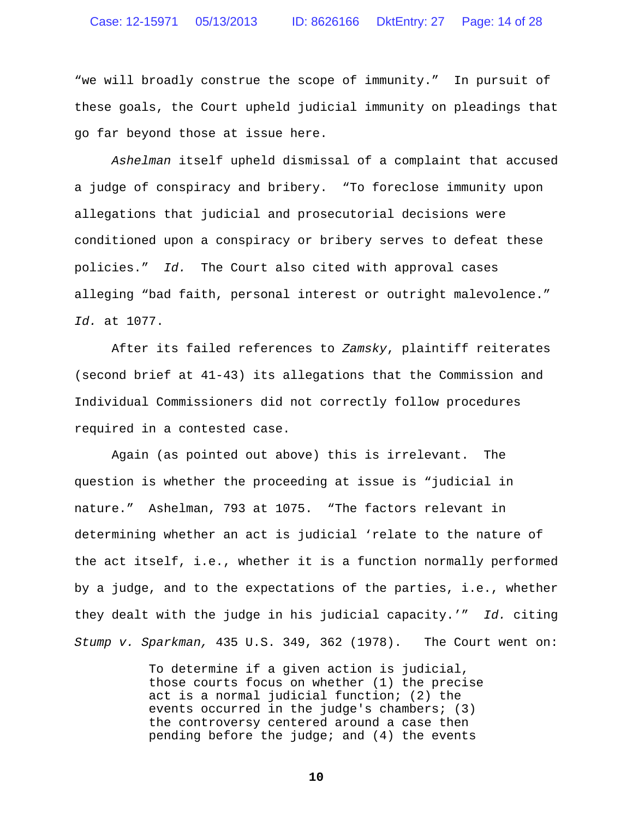"we will broadly construe the scope of immunity." In pursuit of these goals, the Court upheld judicial immunity on pleadings that go far beyond those at issue here.

*Ashelman* itself upheld dismissal of a complaint that accused a judge of conspiracy and bribery. "To foreclose immunity upon allegations that judicial and prosecutorial decisions were conditioned upon a conspiracy or bribery serves to defeat these policies." *Id.* The Court also cited with approval cases alleging "bad faith, personal interest or outright malevolence." *Id.* at 1077.

After its failed references to *Zamsky*, plaintiff reiterates (second brief at 41-43) its allegations that the Commission and Individual Commissioners did not correctly follow procedures required in a contested case.

Again (as pointed out above) this is irrelevant. The question is whether the proceeding at issue is "judicial in nature." Ashelman, 793 at 1075. "The factors relevant in determining whether an act is judicial 'relate to the nature of the act itself, i.e., whether it is a function normally performed by a judge, and to the expectations of the parties, i.e., whether they dealt with the judge in his judicial capacity.'" *Id.* citing *Stump v. Sparkman,* 435 U.S. 349, 362 (1978). The Court went on:

> To determine if a given action is judicial, those courts focus on whether (1) the precise act is a normal judicial function; (2) the events occurred in the judge's chambers; (3) the controversy centered around a case then pending before the judge; and (4) the events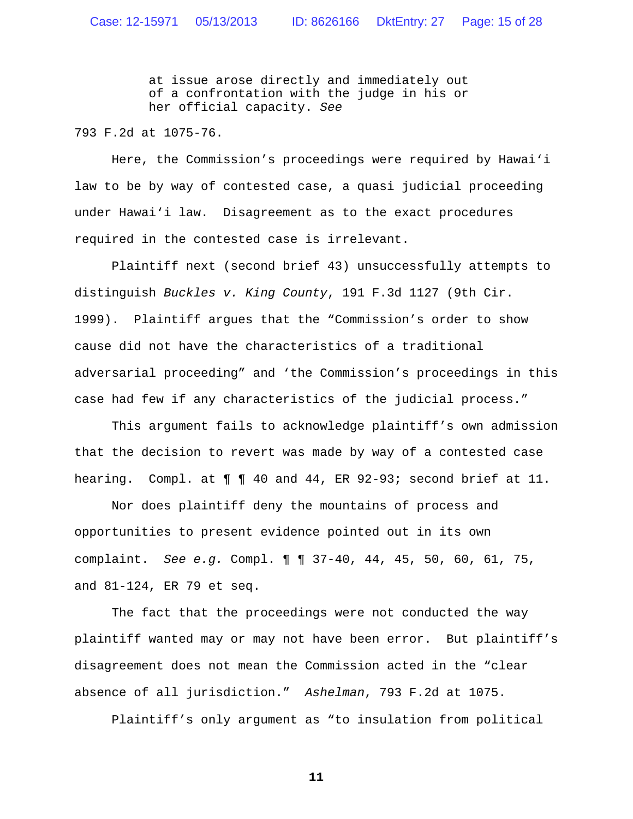at issue arose directly and immediately out of a confrontation with the judge in his or her official capacity. *See*

793 F.2d at 1075-76.

Here, the Commission's proceedings were required by Hawai'i law to be by way of contested case, a quasi judicial proceeding under Hawai'i law. Disagreement as to the exact procedures required in the contested case is irrelevant.

Plaintiff next (second brief 43) unsuccessfully attempts to distinguish *Buckles v. King County*, 191 F.3d 1127 (9th Cir. 1999). Plaintiff argues that the "Commission's order to show cause did not have the characteristics of a traditional adversarial proceeding" and 'the Commission's proceedings in this case had few if any characteristics of the judicial process."

This argument fails to acknowledge plaintiff's own admission that the decision to revert was made by way of a contested case hearing. Compl. at  $\P$   $\P$  40 and 44, ER 92-93; second brief at 11.

Nor does plaintiff deny the mountains of process and opportunities to present evidence pointed out in its own complaint. *See e.g.* Compl. ¶ ¶ 37-40, 44, 45, 50, 60, 61, 75, and 81-124, ER 79 et seq.

The fact that the proceedings were not conducted the way plaintiff wanted may or may not have been error. But plaintiff's disagreement does not mean the Commission acted in the "clear absence of all jurisdiction." *Ashelman*, 793 F.2d at 1075.

Plaintiff's only argument as "to insulation from political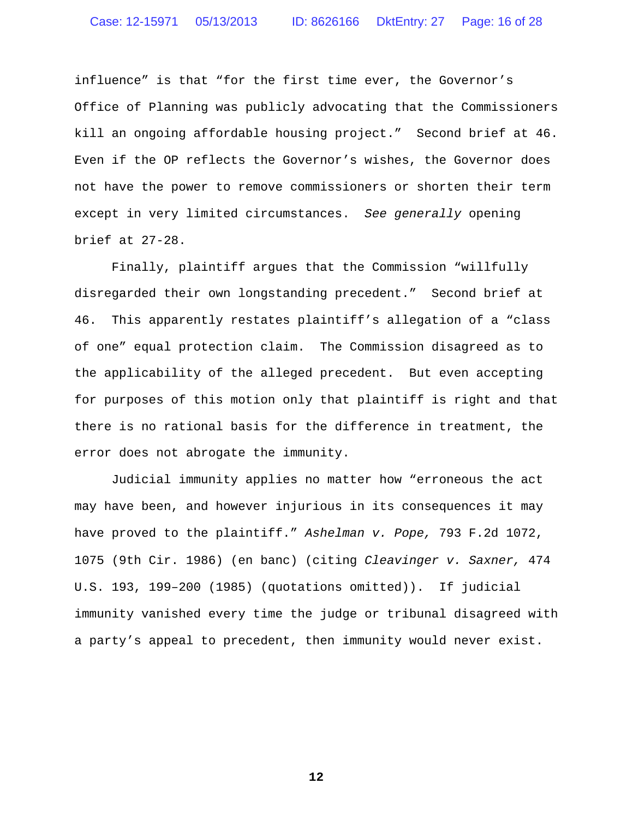influence" is that "for the first time ever, the Governor's Office of Planning was publicly advocating that the Commissioners kill an ongoing affordable housing project." Second brief at 46. Even if the OP reflects the Governor's wishes, the Governor does not have the power to remove commissioners or shorten their term except in very limited circumstances. *See generally* opening brief at 27-28.

Finally, plaintiff argues that the Commission "willfully disregarded their own longstanding precedent." Second brief at 46. This apparently restates plaintiff's allegation of a "class of one" equal protection claim. The Commission disagreed as to the applicability of the alleged precedent. But even accepting for purposes of this motion only that plaintiff is right and that there is no rational basis for the difference in treatment, the error does not abrogate the immunity.

Judicial immunity applies no matter how "erroneous the act may have been, and however injurious in its consequences it may have proved to the plaintiff." *Ashelman v. Pope,* 793 F.2d 1072, 1075 (9th Cir. 1986) (en banc) (citing *Cleavinger v. Saxner,* 474 U.S. 193, 199–200 (1985) (quotations omitted)). If judicial immunity vanished every time the judge or tribunal disagreed with a party's appeal to precedent, then immunity would never exist.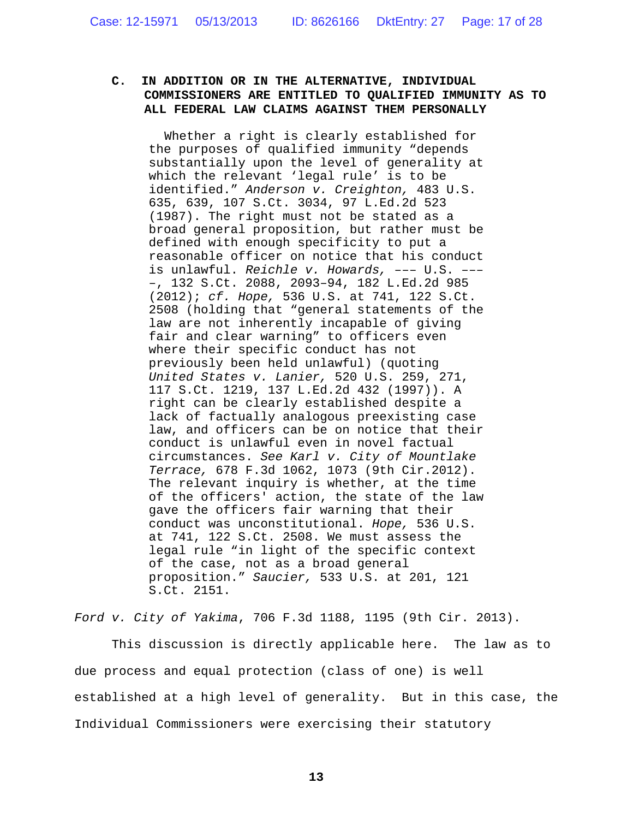## **C. IN ADDITION OR IN THE ALTERNATIVE, INDIVIDUAL COMMISSIONERS ARE ENTITLED TO QUALIFIED IMMUNITY AS TO ALL FEDERAL LAW CLAIMS AGAINST THEM PERSONALLY**

Whether a right is clearly established for the purposes of qualified immunity "depends substantially upon the level of generality at which the relevant 'legal rule' is to be identified." *Anderson v. Creighton,* 483 U.S. 635, 639, 107 S.Ct. 3034, 97 L.Ed.2d 523 (1987). The right must not be stated as a broad general proposition, but rather must be defined with enough specificity to put a reasonable officer on notice that his conduct is unlawful. *Reichle v. Howards,* ––– U.S. ––– –, 132 S.Ct. 2088, 2093–94, 182 L.Ed.2d 985 (2012); *cf. Hope,* 536 U.S. at 741, 122 S.Ct. 2508 (holding that "general statements of the law are not inherently incapable of giving fair and clear warning" to officers even where their specific conduct has not previously been held unlawful) (quoting *United States v. Lanier,* 520 U.S. 259, 271, 117 S.Ct. 1219, 137 L.Ed.2d 432 (1997)). A right can be clearly established despite a lack of factually analogous preexisting case law, and officers can be on notice that their conduct is unlawful even in novel factual circumstances. *See Karl v. City of Mountlake Terrace,* 678 F.3d 1062, 1073 (9th Cir.2012). The relevant inquiry is whether, at the time of the officers' action, the state of the law gave the officers fair warning that their conduct was unconstitutional. *Hope,* 536 U.S. at 741, 122 S.Ct. 2508. We must assess the legal rule "in light of the specific context of the case, not as a broad general proposition." *Saucier,* 533 U.S. at 201, 121 S.Ct. 2151.

*Ford v. City of Yakima*, 706 F.3d 1188, 1195 (9th Cir. 2013).

This discussion is directly applicable here. The law as to due process and equal protection (class of one) is well established at a high level of generality. But in this case, the Individual Commissioners were exercising their statutory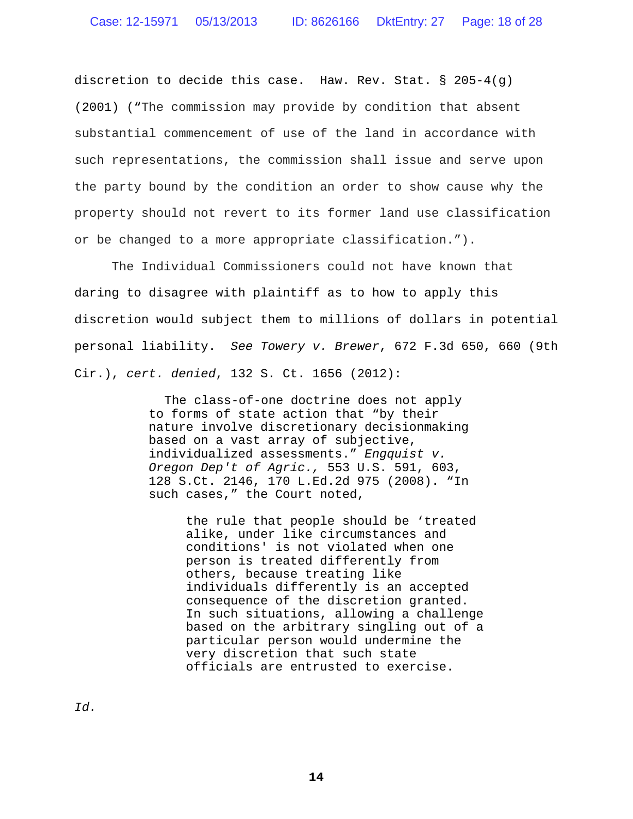discretion to decide this case. Haw. Rev. Stat. § 205-4(q) (2001) ("The commission may provide by condition that absent substantial commencement of use of the land in accordance with such representations, the commission shall issue and serve upon the party bound by the condition an order to show cause why the property should not revert to its former land use classification or be changed to a more appropriate classification.").

The Individual Commissioners could not have known that daring to disagree with plaintiff as to how to apply this discretion would subject them to millions of dollars in potential personal liability. *See Towery v. Brewer*, 672 F.3d 650, 660 (9th Cir.), *cert. denied*, 132 S. Ct. 1656 (2012):

> The class-of-one doctrine does not apply to forms of state action that "by their nature involve discretionary decisionmaking based on a vast array of subjective, individualized assessments." *Engquist v. Oregon Dep't of Agric.,* 553 U.S. 591, 603, 128 S.Ct. 2146, 170 L.Ed.2d 975 (2008). "In such cases," the Court noted,

> > the rule that people should be 'treated alike, under like circumstances and conditions' is not violated when one person is treated differently from others, because treating like individuals differently is an accepted consequence of the discretion granted. In such situations, allowing a challenge based on the arbitrary singling out of a particular person would undermine the very discretion that such state officials are entrusted to exercise.

*Id.*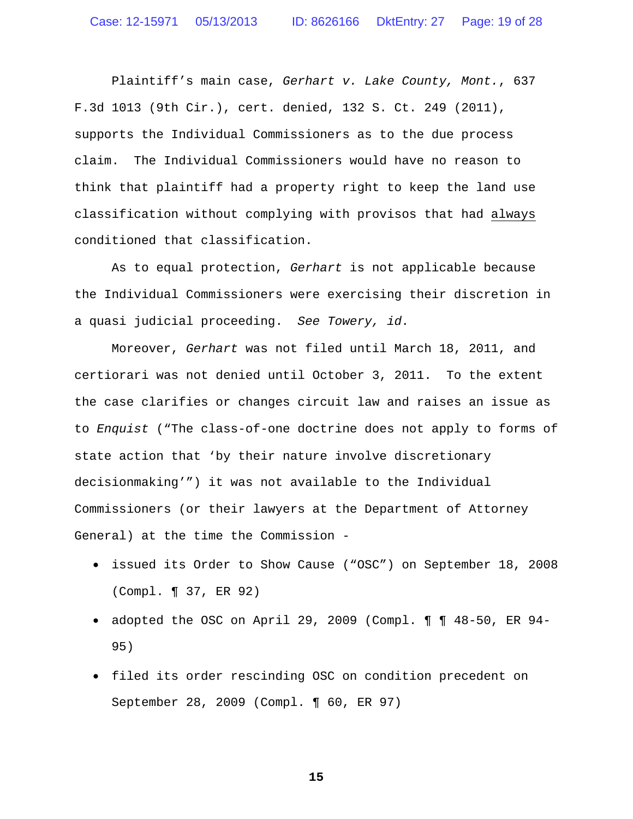Plaintiff's main case, *Gerhart v. Lake County, Mont.*, 637 F.3d 1013 (9th Cir.), cert. denied, 132 S. Ct. 249 (2011), supports the Individual Commissioners as to the due process claim. The Individual Commissioners would have no reason to think that plaintiff had a property right to keep the land use classification without complying with provisos that had always conditioned that classification.

As to equal protection, *Gerhart* is not applicable because the Individual Commissioners were exercising their discretion in a quasi judicial proceeding. *See Towery, id.*

Moreover, *Gerhart* was not filed until March 18, 2011, and certiorari was not denied until October 3, 2011. To the extent the case clarifies or changes circuit law and raises an issue as to *Enquist* ("The class-of-one doctrine does not apply to forms of state action that 'by their nature involve discretionary decisionmaking'") it was not available to the Individual Commissioners (or their lawyers at the Department of Attorney General) at the time the Commission -

- issued its Order to Show Cause ("OSC") on September 18, 2008 (Compl. ¶ 37, ER 92)
- adopted the OSC on April 29, 2009 (Compl. ¶ ¶ 48-50, ER 94- 95)
- filed its order rescinding OSC on condition precedent on September 28, 2009 (Compl. ¶ 60, ER 97)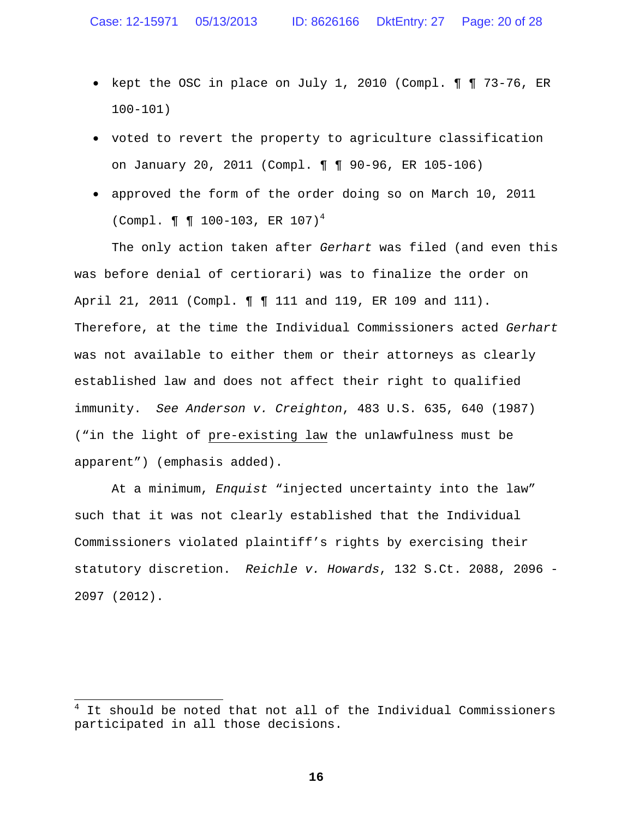- kept the OSC in place on July 1, 2010 (Compl. ¶ ¶ 73-76, ER 100-101)
- voted to revert the property to agriculture classification on January 20, 2011 (Compl. ¶ ¶ 90-96, ER 105-106)
- approved the form of the order doing so on March 10, 2011 (Compl. ¶ ¶ 100-103, ER 107)<sup>4</sup>

The only action taken after *Gerhart* was filed (and even this was before denial of certiorari) was to finalize the order on April 21, 2011 (Compl. **[ ]** 111 and 119, ER 109 and 111). Therefore, at the time the Individual Commissioners acted *Gerhart* was not available to either them or their attorneys as clearly established law and does not affect their right to qualified immunity. *See Anderson v. Creighton*, 483 U.S. 635, 640 (1987) ("in the light of pre-existing law the unlawfulness must be apparent") (emphasis added).

At a minimum, *Enquist* "injected uncertainty into the law" such that it was not clearly established that the Individual Commissioners violated plaintiff's rights by exercising their statutory discretion. *Reichle v. Howards*, 132 S.Ct. 2088, 2096 - 2097 (2012).

It should be noted that not all of the Individual Commissioners participated in all those decisions.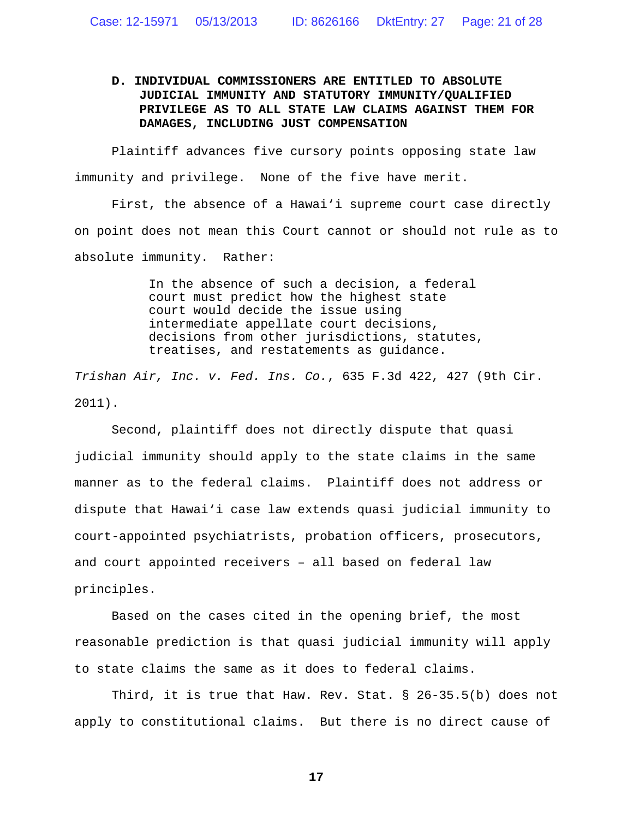# **D. INDIVIDUAL COMMISSIONERS ARE ENTITLED TO ABSOLUTE JUDICIAL IMMUNITY AND STATUTORY IMMUNITY/QUALIFIED PRIVILEGE AS TO ALL STATE LAW CLAIMS AGAINST THEM FOR DAMAGES, INCLUDING JUST COMPENSATION**

Plaintiff advances five cursory points opposing state law immunity and privilege. None of the five have merit.

First, the absence of a Hawai'i supreme court case directly on point does not mean this Court cannot or should not rule as to absolute immunity. Rather:

> In the absence of such a decision, a federal court must predict how the highest state court would decide the issue using intermediate appellate court decisions, decisions from other jurisdictions, statutes, treatises, and restatements as guidance.

*Trishan Air, Inc. v. Fed. Ins. Co.*, 635 F.3d 422, 427 (9th Cir. 2011).

Second, plaintiff does not directly dispute that quasi judicial immunity should apply to the state claims in the same manner as to the federal claims. Plaintiff does not address or dispute that Hawai'i case law extends quasi judicial immunity to court-appointed psychiatrists, probation officers, prosecutors, and court appointed receivers – all based on federal law principles.

Based on the cases cited in the opening brief, the most reasonable prediction is that quasi judicial immunity will apply to state claims the same as it does to federal claims.

Third, it is true that Haw. Rev. Stat. § 26-35.5(b) does not apply to constitutional claims. But there is no direct cause of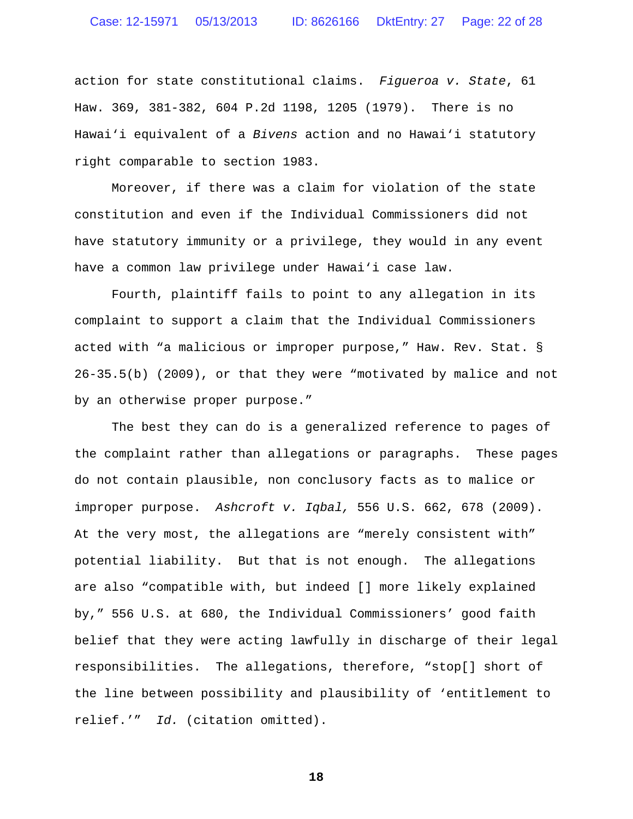action for state constitutional claims. *Figueroa v. State*, 61 Haw. 369, 381-382, 604 P.2d 1198, 1205 (1979). There is no Hawai'i equivalent of a *Bivens* action and no Hawai'i statutory right comparable to section 1983.

Moreover, if there was a claim for violation of the state constitution and even if the Individual Commissioners did not have statutory immunity or a privilege, they would in any event have a common law privilege under Hawai'i case law.

Fourth, plaintiff fails to point to any allegation in its complaint to support a claim that the Individual Commissioners acted with "a malicious or improper purpose," Haw. Rev. Stat. § 26-35.5(b) (2009), or that they were "motivated by malice and not by an otherwise proper purpose."

The best they can do is a generalized reference to pages of the complaint rather than allegations or paragraphs. These pages do not contain plausible, non conclusory facts as to malice or improper purpose. *Ashcroft v. Iqbal,* 556 U.S. 662, 678 (2009). At the very most, the allegations are "merely consistent with" potential liability. But that is not enough. The allegations are also "compatible with, but indeed [] more likely explained by," 556 U.S. at 680, the Individual Commissioners' good faith belief that they were acting lawfully in discharge of their legal responsibilities. The allegations, therefore, "stop[] short of the line between possibility and plausibility of 'entitlement to relief.'" *Id.* (citation omitted).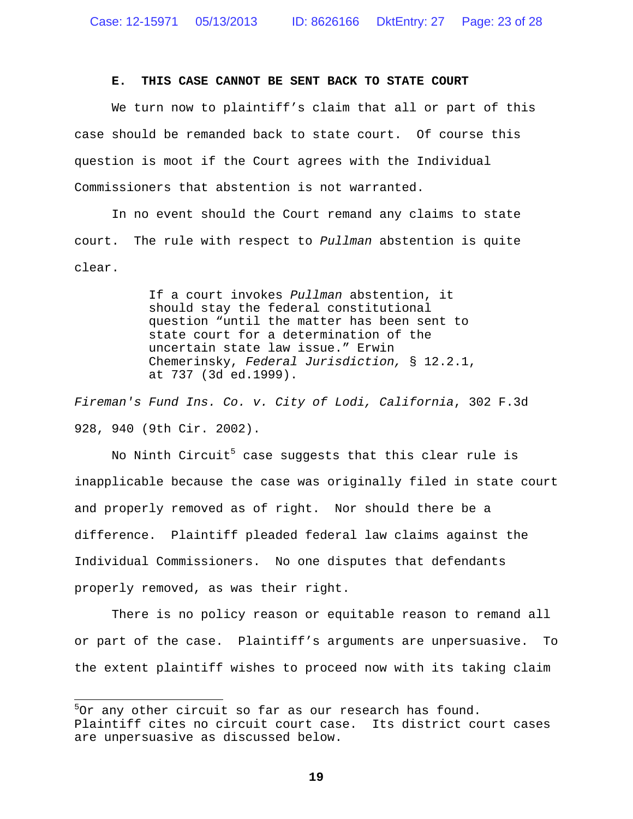#### **E. THIS CASE CANNOT BE SENT BACK TO STATE COURT**

We turn now to plaintiff's claim that all or part of this case should be remanded back to state court. Of course this question is moot if the Court agrees with the Individual Commissioners that abstention is not warranted.

In no event should the Court remand any claims to state court. The rule with respect to *Pullman* abstention is quite clear.

> If a court invokes *Pullman* abstention, it should stay the federal constitutional question "until the matter has been sent to state court for a determination of the uncertain state law issue." Erwin Chemerinsky, *Federal Jurisdiction,* § 12.2.1, at 737 (3d ed.1999).

*Fireman's Fund Ins. Co. v. City of Lodi, California*, 302 F.3d 928, 940 (9th Cir. 2002).

No Ninth Circuit<sup>5</sup> case suggests that this clear rule is inapplicable because the case was originally filed in state court and properly removed as of right. Nor should there be a difference. Plaintiff pleaded federal law claims against the Individual Commissioners. No one disputes that defendants properly removed, as was their right.

There is no policy reason or equitable reason to remand all or part of the case. Plaintiff's arguments are unpersuasive. To the extent plaintiff wishes to proceed now with its taking claim

 $5$ Or any other circuit so far as our research has found. Plaintiff cites no circuit court case. Its district court cases are unpersuasive as discussed below.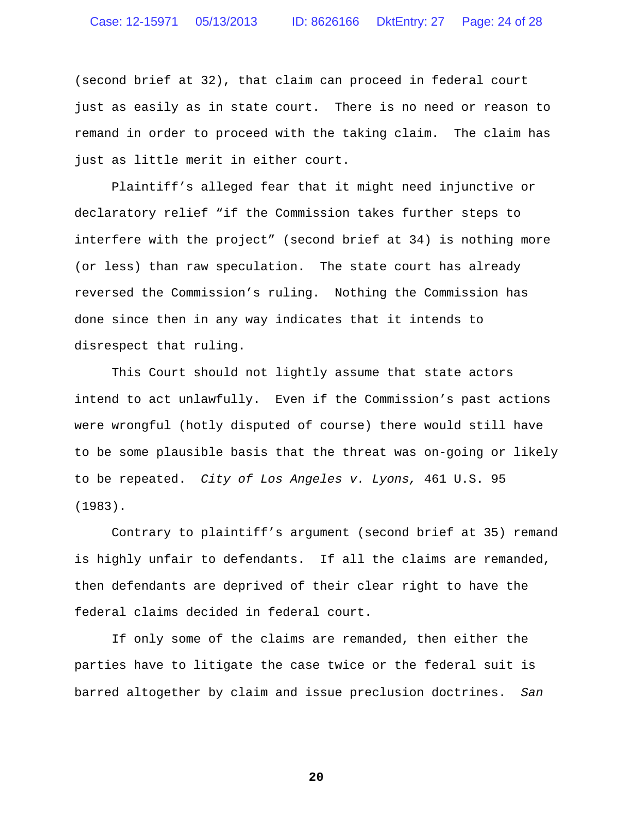(second brief at 32), that claim can proceed in federal court just as easily as in state court. There is no need or reason to remand in order to proceed with the taking claim. The claim has just as little merit in either court.

Plaintiff's alleged fear that it might need injunctive or declaratory relief "if the Commission takes further steps to interfere with the project" (second brief at 34) is nothing more (or less) than raw speculation. The state court has already reversed the Commission's ruling. Nothing the Commission has done since then in any way indicates that it intends to disrespect that ruling.

This Court should not lightly assume that state actors intend to act unlawfully. Even if the Commission's past actions were wrongful (hotly disputed of course) there would still have to be some plausible basis that the threat was on-going or likely to be repeated. *City of Los Angeles v. Lyons,* 461 U.S. 95 (1983).

Contrary to plaintiff's argument (second brief at 35) remand is highly unfair to defendants. If all the claims are remanded, then defendants are deprived of their clear right to have the federal claims decided in federal court.

If only some of the claims are remanded, then either the parties have to litigate the case twice or the federal suit is barred altogether by claim and issue preclusion doctrines. *San*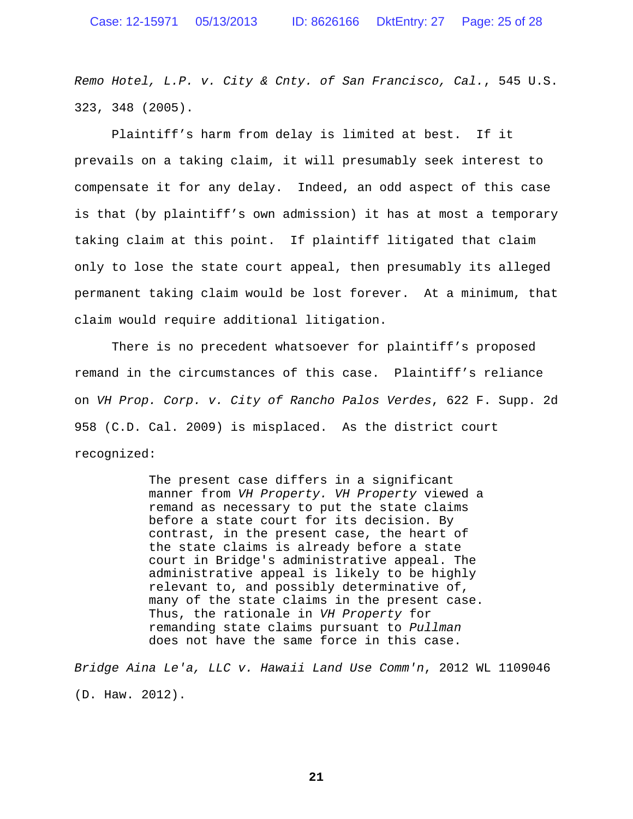*Remo Hotel, L.P. v. City & Cnty. of San Francisco, Cal.*, 545 U.S. 323, 348 (2005).

Plaintiff's harm from delay is limited at best. If it prevails on a taking claim, it will presumably seek interest to compensate it for any delay. Indeed, an odd aspect of this case is that (by plaintiff's own admission) it has at most a temporary taking claim at this point. If plaintiff litigated that claim only to lose the state court appeal, then presumably its alleged permanent taking claim would be lost forever. At a minimum, that claim would require additional litigation.

There is no precedent whatsoever for plaintiff's proposed remand in the circumstances of this case. Plaintiff's reliance on *VH Prop. Corp. v. City of Rancho Palos Verdes*, 622 F. Supp. 2d 958 (C.D. Cal. 2009) is misplaced. As the district court recognized:

> The present case differs in a significant manner from *VH Property. VH Property* viewed a remand as necessary to put the state claims before a state court for its decision. By contrast, in the present case, the heart of the state claims is already before a state court in Bridge's administrative appeal. The administrative appeal is likely to be highly relevant to, and possibly determinative of, many of the state claims in the present case. Thus, the rationale in *VH Property* for remanding state claims pursuant to *Pullman* does not have the same force in this case.

*Bridge Aina Le'a, LLC v. Hawaii Land Use Comm'n*, 2012 WL 1109046 (D. Haw. 2012).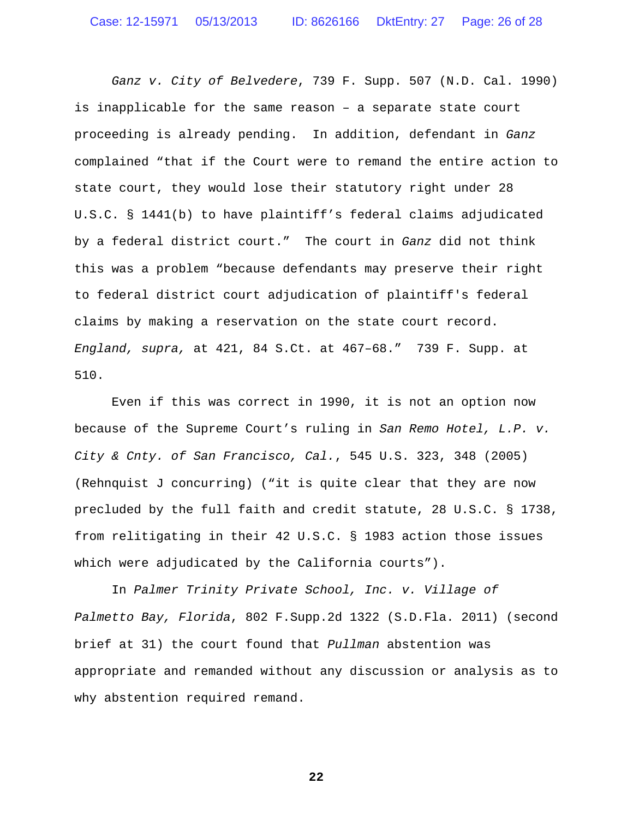*Ganz v. City of Belvedere*, 739 F. Supp. 507 (N.D. Cal. 1990) is inapplicable for the same reason – a separate state court proceeding is already pending. In addition, defendant in *Ganz* complained "that if the Court were to remand the entire action to state court, they would lose their statutory right under 28 U.S.C. § 1441(b) to have plaintiff's federal claims adjudicated by a federal district court." The court in *Ganz* did not think this was a problem "because defendants may preserve their right to federal district court adjudication of plaintiff's federal claims by making a reservation on the state court record. *England, supra,* at 421, 84 S.Ct. at 467–68." 739 F. Supp. at 510.

Even if this was correct in 1990, it is not an option now because of the Supreme Court's ruling in *San Remo Hotel, L.P. v. City & Cnty. of San Francisco, Cal.*, 545 U.S. 323, 348 (2005) (Rehnquist J concurring) ("it is quite clear that they are now precluded by the full faith and credit statute, 28 U.S.C. § 1738, from relitigating in their 42 U.S.C. § 1983 action those issues which were adjudicated by the California courts").

In *Palmer Trinity Private School, Inc. v. Village of Palmetto Bay, Florida*, 802 F.Supp.2d 1322 (S.D.Fla. 2011) (second brief at 31) the court found that *Pullman* abstention was appropriate and remanded without any discussion or analysis as to why abstention required remand.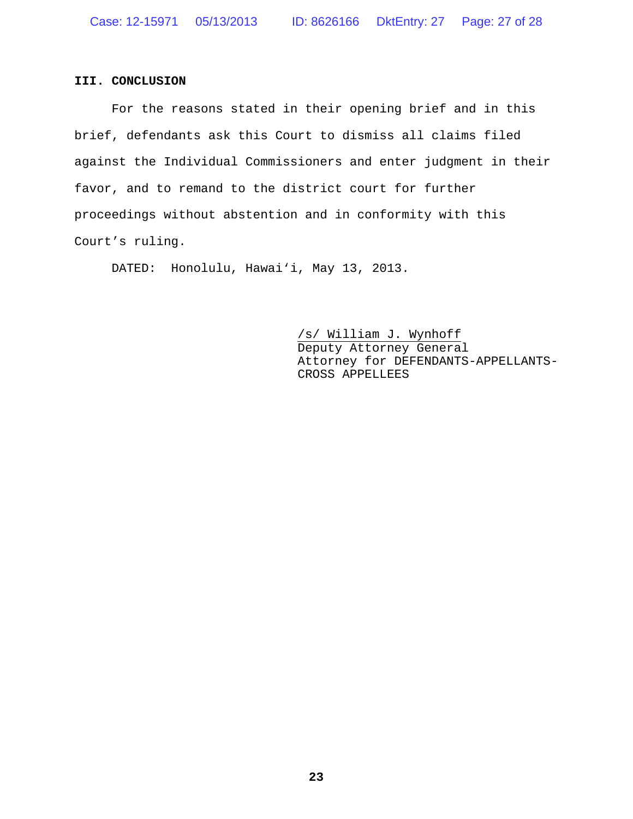#### **III. CONCLUSION**

For the reasons stated in their opening brief and in this brief, defendants ask this Court to dismiss all claims filed against the Individual Commissioners and enter judgment in their favor, and to remand to the district court for further proceedings without abstention and in conformity with this Court's ruling.

DATED: Honolulu, Hawai'i, May 13, 2013.

/s/ William J. Wynhoff Deputy Attorney General Attorney for DEFENDANTS-APPELLANTS-CROSS APPELLEES